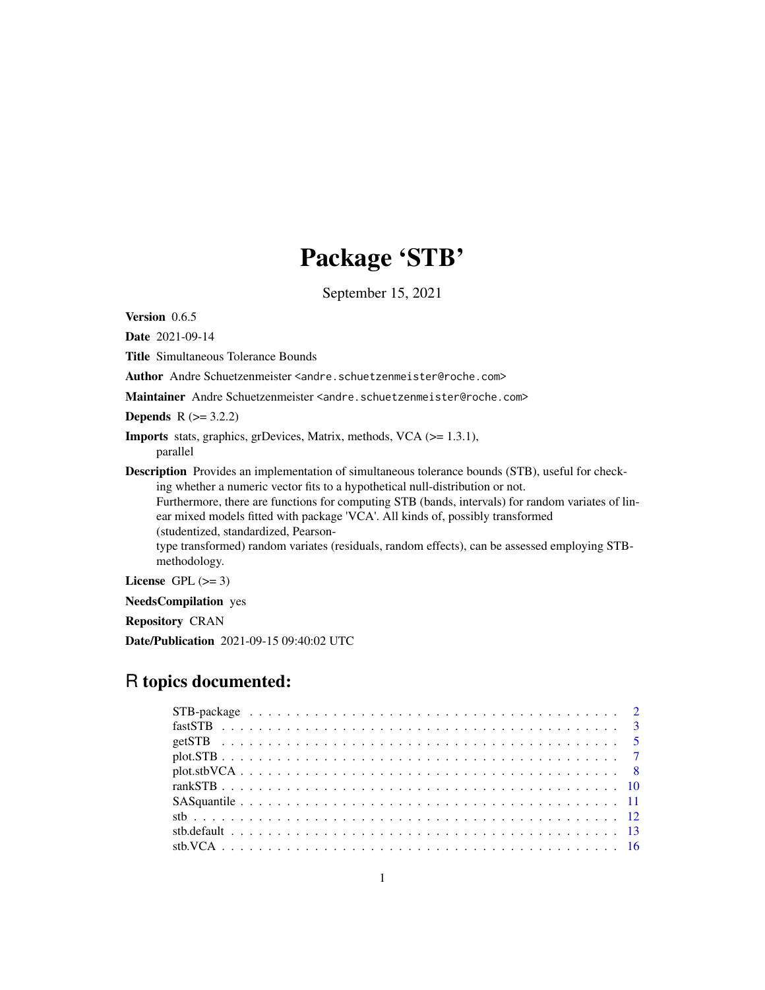## Package 'STB'

September 15, 2021

<span id="page-0-0"></span>Version 0.6.5

Date 2021-09-14

Title Simultaneous Tolerance Bounds

Author Andre Schuetzenmeister <andre.schuetzenmeister@roche.com>

Maintainer Andre Schuetzenmeister <andre.schuetzenmeister@roche.com>

**Depends**  $R$  ( $> = 3.2.2$ )

```
Imports stats, graphics, grDevices, Matrix, methods, VCA (>= 1.3.1),
      parallel
```
Description Provides an implementation of simultaneous tolerance bounds (STB), useful for checking whether a numeric vector fits to a hypothetical null-distribution or not.

Furthermore, there are functions for computing STB (bands, intervals) for random variates of linear mixed models fitted with package 'VCA'. All kinds of, possibly transformed (studentized, standardized, Pearson-

type transformed) random variates (residuals, random effects), can be assessed employing STBmethodology.

License GPL  $(>= 3)$ 

NeedsCompilation yes

Repository CRAN

Date/Publication 2021-09-15 09:40:02 UTC

## R topics documented: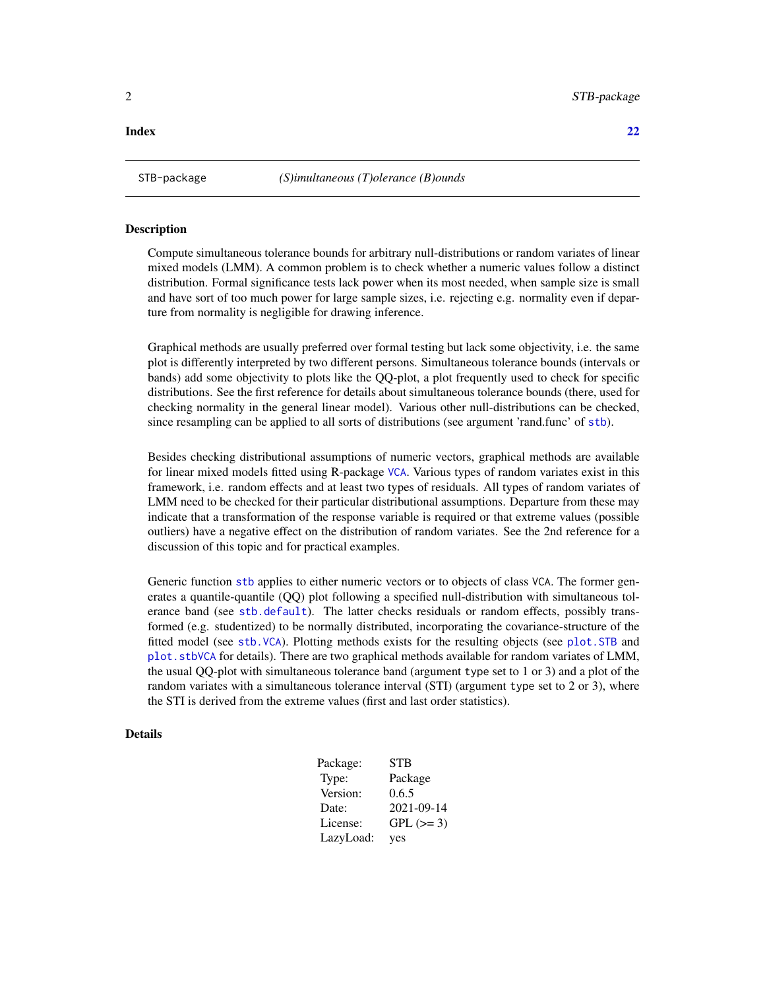<span id="page-1-0"></span>

Compute simultaneous tolerance bounds for arbitrary null-distributions or random variates of linear mixed models (LMM). A common problem is to check whether a numeric values follow a distinct distribution. Formal significance tests lack power when its most needed, when sample size is small and have sort of too much power for large sample sizes, i.e. rejecting e.g. normality even if departure from normality is negligible for drawing inference.

Graphical methods are usually preferred over formal testing but lack some objectivity, i.e. the same plot is differently interpreted by two different persons. Simultaneous tolerance bounds (intervals or bands) add some objectivity to plots like the QQ-plot, a plot frequently used to check for specific distributions. See the first reference for details about simultaneous tolerance bounds (there, used for checking normality in the general linear model). Various other null-distributions can be checked, since resampling can be applied to all sorts of distributions (see argument 'rand.func' of [stb](#page-11-1)).

Besides checking distributional assumptions of numeric vectors, graphical methods are available for linear mixed models fitted using R-package [VCA](#page-0-0). Various types of random variates exist in this framework, i.e. random effects and at least two types of residuals. All types of random variates of LMM need to be checked for their particular distributional assumptions. Departure from these may indicate that a transformation of the response variable is required or that extreme values (possible outliers) have a negative effect on the distribution of random variates. See the 2nd reference for a discussion of this topic and for practical examples.

Generic function [stb](#page-11-1) applies to either numeric vectors or to objects of class VCA. The former generates a quantile-quantile (QQ) plot following a specified null-distribution with simultaneous tolerance band (see [stb.default](#page-12-1)). The latter checks residuals or random effects, possibly transformed (e.g. studentized) to be normally distributed, incorporating the covariance-structure of the fitted model (see [stb.VCA](#page-15-1)). Plotting methods exists for the resulting objects (see [plot.STB](#page-6-1) and [plot.stbVCA](#page-7-1) for details). There are two graphical methods available for random variates of LMM, the usual QQ-plot with simultaneous tolerance band (argument type set to 1 or 3) and a plot of the random variates with a simultaneous tolerance interval (STI) (argument type set to 2 or 3), where the STI is derived from the extreme values (first and last order statistics).

#### Details

| Package:  | <b>STB</b> |
|-----------|------------|
| Type:     | Package    |
| Version:  | 0.6.5      |
| Date:     | 2021-09-14 |
| License:  | $GPL (=3)$ |
| LazyLoad: | yes        |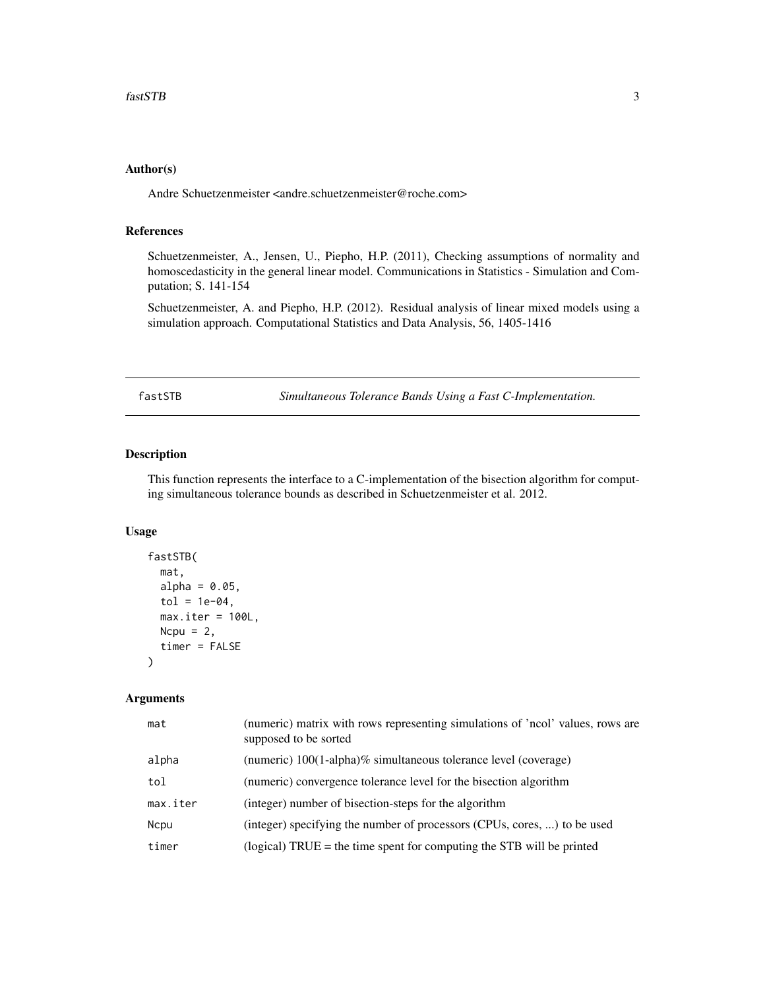## <span id="page-2-0"></span>Author(s)

Andre Schuetzenmeister <andre.schuetzenmeister@roche.com>

#### References

Schuetzenmeister, A., Jensen, U., Piepho, H.P. (2011), Checking assumptions of normality and homoscedasticity in the general linear model. Communications in Statistics - Simulation and Computation; S. 141-154

Schuetzenmeister, A. and Piepho, H.P. (2012). Residual analysis of linear mixed models using a simulation approach. Computational Statistics and Data Analysis, 56, 1405-1416

<span id="page-2-1"></span>fastSTB *Simultaneous Tolerance Bands Using a Fast C-Implementation.*

## Description

This function represents the interface to a C-implementation of the bisection algorithm for computing simultaneous tolerance bounds as described in Schuetzenmeister et al. 2012.

## Usage

```
fastSTB(
 mat,
 alpha = 0.05,
  tol = 1e-04,max.iter = 100L,Ncpu = 2,
  timer = FALSE
)
```

| mat         | (numeric) matrix with rows representing simulations of 'ncol' values, rows are<br>supposed to be sorted |
|-------------|---------------------------------------------------------------------------------------------------------|
| alpha       | (numeric) 100(1-alpha)% simultaneous tolerance level (coverage)                                         |
| tol         | (numeric) convergence tolerance level for the bisection algorithm                                       |
| max.iter    | (integer) number of bisection-steps for the algorithm                                                   |
| <b>Ncpu</b> | (integer) specifying the number of processors (CPUs, cores, ) to be used                                |
| timer       | (logical) $TRUE =$ the time spent for computing the STB will be printed                                 |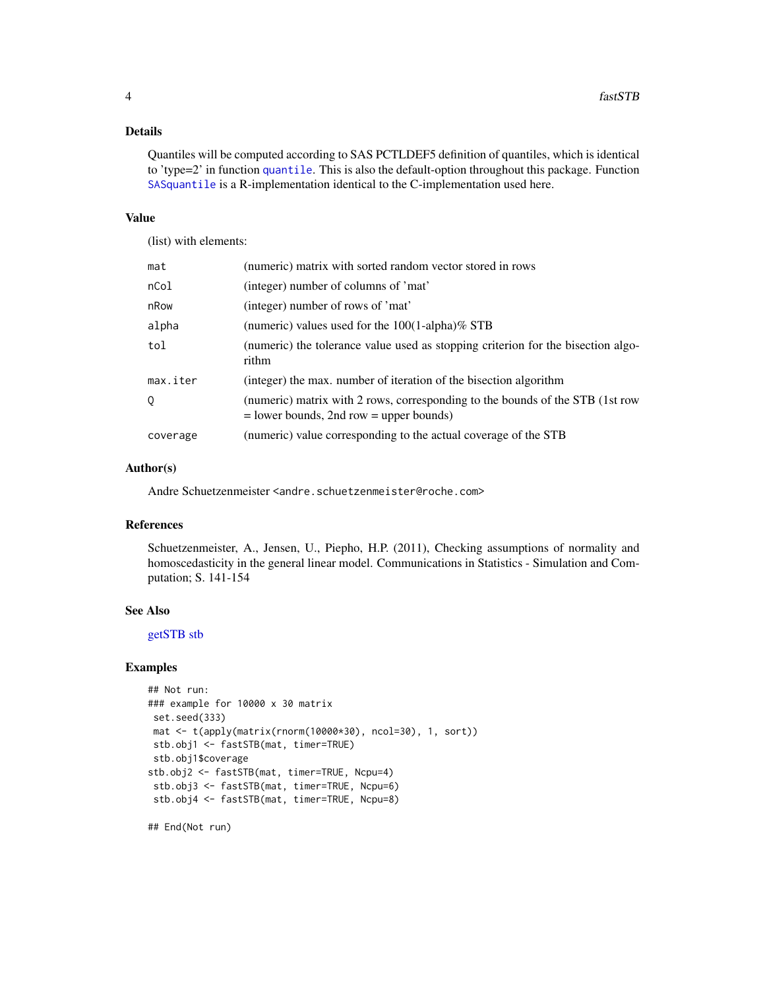## <span id="page-3-0"></span>Details

Quantiles will be computed according to SAS PCTLDEF5 definition of quantiles, which is identical to 'type=2' in function [quantile](#page-0-0). This is also the default-option throughout this package. Function [SASquantile](#page-10-1) is a R-implementation identical to the C-implementation used here.

#### Value

(list) with elements:

| mat      | (numeric) matrix with sorted random vector stored in rows                                                                    |
|----------|------------------------------------------------------------------------------------------------------------------------------|
| nCol     | (integer) number of columns of 'mat'                                                                                         |
| nRow     | (integer) number of rows of 'mat'                                                                                            |
| alpha    | (numeric) values used for the $100(1$ -alpha)% STB                                                                           |
| tol      | (numeric) the tolerance value used as stopping criterion for the bisection algo-<br>rithm                                    |
| max.iter | (integer) the max. number of iteration of the bisection algorithm                                                            |
| 0        | (numeric) matrix with 2 rows, corresponding to the bounds of the STB (1st row<br>$=$ lower bounds, 2nd row $=$ upper bounds) |
| coverage | (numeric) value corresponding to the actual coverage of the STB                                                              |

#### Author(s)

Andre Schuetzenmeister <andre.schuetzenmeister@roche.com>

## References

Schuetzenmeister, A., Jensen, U., Piepho, H.P. (2011), Checking assumptions of normality and homoscedasticity in the general linear model. Communications in Statistics - Simulation and Computation; S. 141-154

## See Also

[getSTB](#page-4-1) [stb](#page-11-1)

## Examples

```
## Not run:
### example for 10000 x 30 matrix
set.seed(333)
mat <- t(apply(matrix(rnorm(10000*30), ncol=30), 1, sort))
stb.obj1 <- fastSTB(mat, timer=TRUE)
stb.obj1$coverage
stb.obj2 <- fastSTB(mat, timer=TRUE, Ncpu=4)
stb.obj3 <- fastSTB(mat, timer=TRUE, Ncpu=6)
stb.obj4 <- fastSTB(mat, timer=TRUE, Ncpu=8)
```
## End(Not run)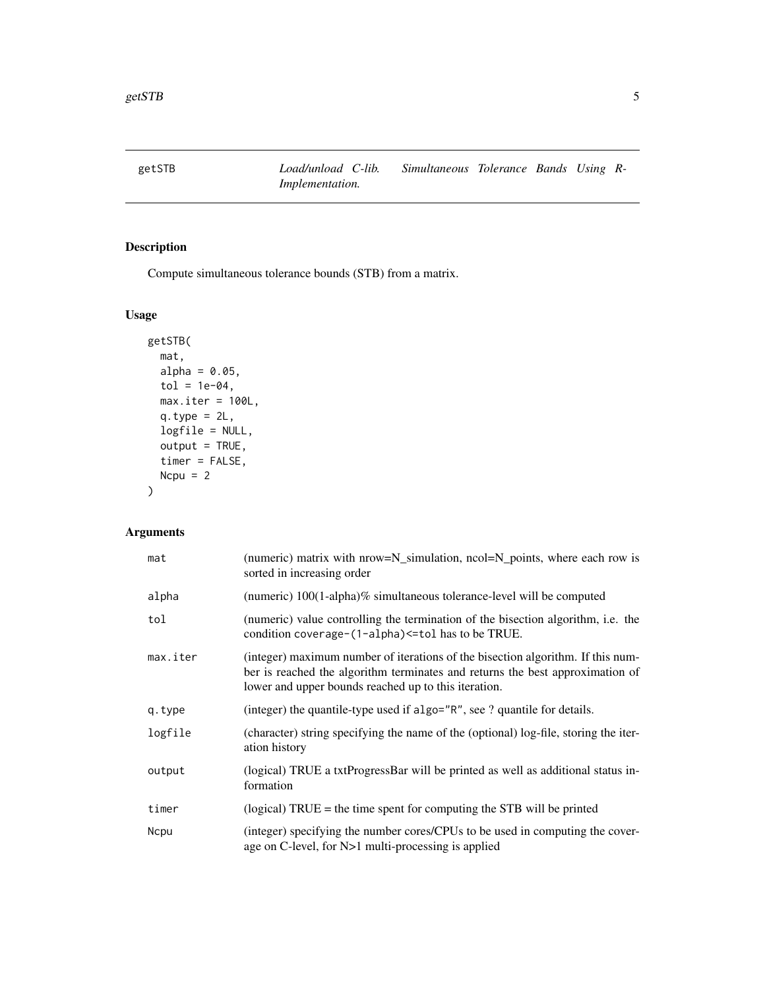<span id="page-4-1"></span><span id="page-4-0"></span>

Compute simultaneous tolerance bounds (STB) from a matrix.

## Usage

```
getSTB(
 mat,
 alpha = 0.05,
 tol = 1e-04,max.iter = 100L,q.type = 2L,logfile = NULL,
 output = TRUE,
  timer = FALSE,
 Ncpu = 2)
```

| mat         | (numeric) matrix with nrow=N_simulation, ncol=N_points, where each row is<br>sorted in increasing order                                                                                                                  |
|-------------|--------------------------------------------------------------------------------------------------------------------------------------------------------------------------------------------------------------------------|
| alpha       | (numeric) $100(1-\alpha)$ alpha)% simultaneous tolerance-level will be computed                                                                                                                                          |
| tol         | (numeric) value controlling the termination of the bisection algorithm, i.e. the<br>condition coverage-(1-alpha) <= tol has to be TRUE.                                                                                  |
| max.iter    | (integer) maximum number of iterations of the bisection algorithm. If this num-<br>ber is reached the algorithm terminates and returns the best approximation of<br>lower and upper bounds reached up to this iteration. |
| q.type      | (integer) the quantile-type used if algo="R", see ? quantile for details.                                                                                                                                                |
| logfile     | (character) string specifying the name of the (optional) log-file, storing the iter-<br>ation history                                                                                                                    |
| output      | (logical) TRUE a txtProgressBar will be printed as well as additional status in-<br>formation                                                                                                                            |
| timer       | (logical) $TRUE =$ the time spent for computing the STB will be printed                                                                                                                                                  |
| <b>Ncpu</b> | (integer) specifying the number cores/CPUs to be used in computing the cover-<br>age on C-level, for N>1 multi-processing is applied                                                                                     |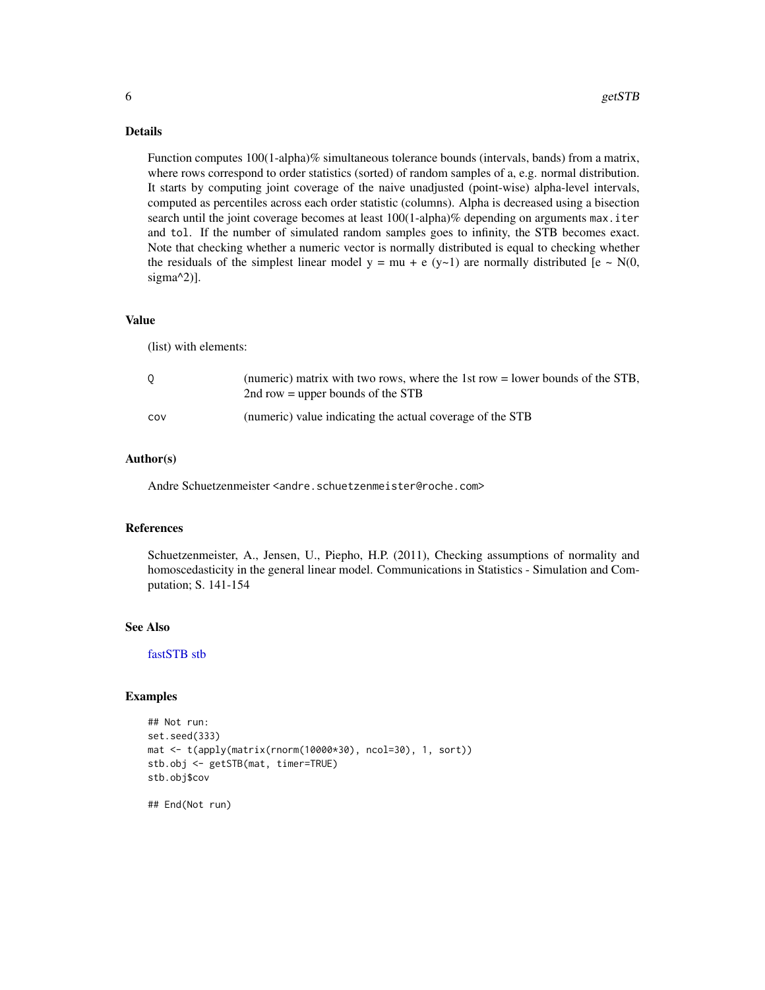## <span id="page-5-0"></span>Details

Function computes 100(1-alpha)% simultaneous tolerance bounds (intervals, bands) from a matrix, where rows correspond to order statistics (sorted) of random samples of a, e.g. normal distribution. It starts by computing joint coverage of the naive unadjusted (point-wise) alpha-level intervals, computed as percentiles across each order statistic (columns). Alpha is decreased using a bisection search until the joint coverage becomes at least 100(1-alpha)% depending on arguments max.iter and tol. If the number of simulated random samples goes to infinity, the STB becomes exact. Note that checking whether a numeric vector is normally distributed is equal to checking whether the residuals of the simplest linear model  $y = mu + e (y \sim 1)$  are normally distributed  $[e \sim N(0,$ sigma^2)].

#### Value

(list) with elements:

|     | (numeric) matrix with two rows, where the 1st row $=$ lower bounds of the STB,<br>2nd row = upper bounds of the STB |
|-----|---------------------------------------------------------------------------------------------------------------------|
| cov | (numeric) value indicating the actual coverage of the STB                                                           |

#### Author(s)

Andre Schuetzenmeister <andre.schuetzenmeister@roche.com>

## References

Schuetzenmeister, A., Jensen, U., Piepho, H.P. (2011), Checking assumptions of normality and homoscedasticity in the general linear model. Communications in Statistics - Simulation and Computation; S. 141-154

#### See Also

[fastSTB](#page-2-1) [stb](#page-11-1)

#### Examples

```
## Not run:
set.seed(333)
mat <- t(apply(matrix(rnorm(10000*30), ncol=30), 1, sort))
stb.obj <- getSTB(mat, timer=TRUE)
stb.obj$cov
```
## End(Not run)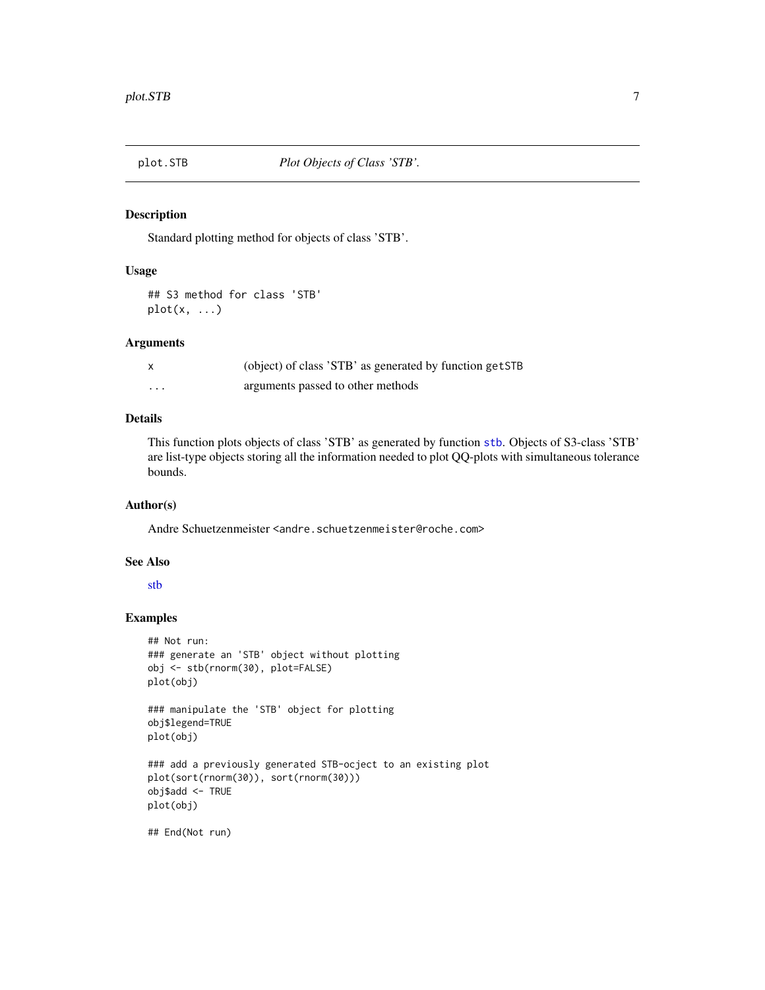<span id="page-6-1"></span><span id="page-6-0"></span>

Standard plotting method for objects of class 'STB'.

#### Usage

## S3 method for class 'STB'  $plot(x, \ldots)$ 

## Arguments

|         | (object) of class 'STB' as generated by function getSTB |
|---------|---------------------------------------------------------|
| $\cdot$ | arguments passed to other methods                       |

## Details

This function plots objects of class 'STB' as generated by function [stb](#page-11-1). Objects of S3-class 'STB' are list-type objects storing all the information needed to plot QQ-plots with simultaneous tolerance bounds.

#### Author(s)

Andre Schuetzenmeister <andre.schuetzenmeister@roche.com>

## See Also

[stb](#page-11-1)

## Examples

```
## Not run:
### generate an 'STB' object without plotting
obj <- stb(rnorm(30), plot=FALSE)
plot(obj)
### manipulate the 'STB' object for plotting
obj$legend=TRUE
plot(obj)
### add a previously generated STB-ocject to an existing plot
plot(sort(rnorm(30)), sort(rnorm(30)))
obj$add <- TRUE
plot(obj)
## End(Not run)
```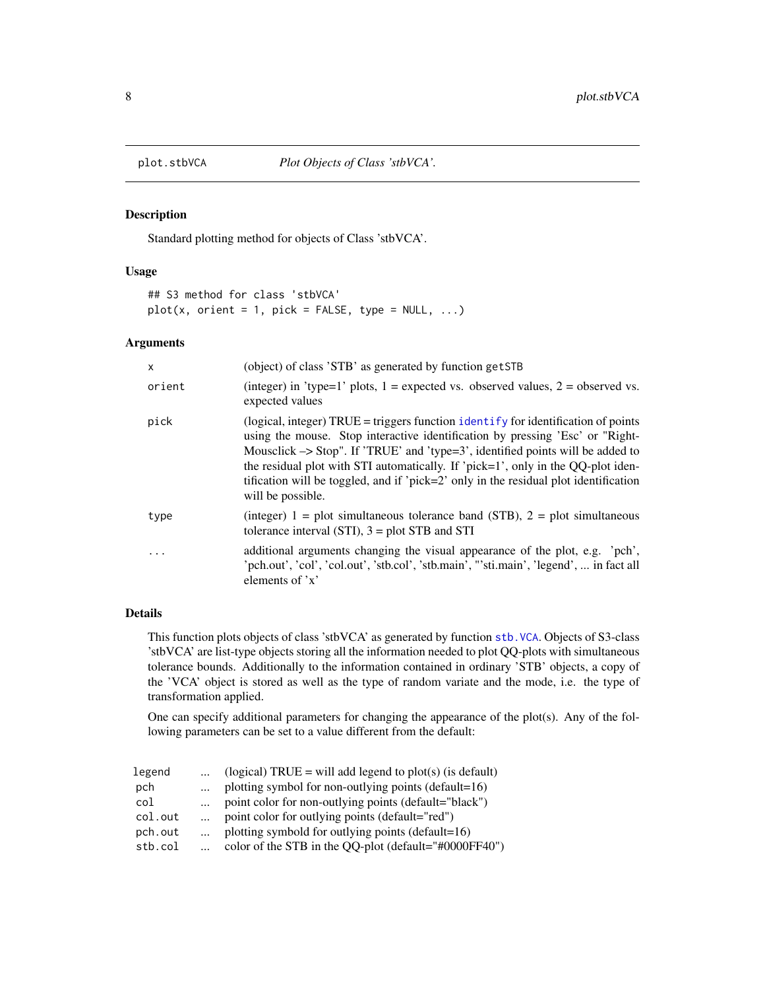<span id="page-7-1"></span><span id="page-7-0"></span>

Standard plotting method for objects of Class 'stbVCA'.

#### Usage

```
## S3 method for class 'stbVCA'
plot(x, orient = 1, pick = FALSE, type = NULL, ...)
```
## Arguments

| $\mathsf{x}$ | (object) of class 'STB' as generated by function getSTB                                                                                                                                                                                                                                                                                                                                                                                                          |
|--------------|------------------------------------------------------------------------------------------------------------------------------------------------------------------------------------------------------------------------------------------------------------------------------------------------------------------------------------------------------------------------------------------------------------------------------------------------------------------|
| orient       | (integer) in 'type=1' plots, $1 =$ expected vs. observed values, $2 =$ observed vs.<br>expected values                                                                                                                                                                                                                                                                                                                                                           |
| pick         | (logical, integer) TRUE = triggers function identify for identification of points<br>using the mouse. Stop interactive identification by pressing 'Esc' or "Right-<br>Mousclick $\rightarrow$ Stop". If 'TRUE' and 'type=3', identified points will be added to<br>the residual plot with STI automatically. If 'pick=1', only in the QQ-plot iden-<br>tification will be toggled, and if 'pick=2' only in the residual plot identification<br>will be possible. |
| type         | (integer) $1 = plot$ simultaneous tolerance band (STB), $2 = plot$ simultaneous<br>tolerance interval $(STI)$ , $3 = plot STB$ and STI                                                                                                                                                                                                                                                                                                                           |
|              | additional arguments changing the visual appearance of the plot, e.g. 'pch',<br>'pch.out', 'col', 'col.out', 'stb.col', 'stb.main', "'sti.main', 'legend',  in fact all<br>elements of $x$                                                                                                                                                                                                                                                                       |

#### Details

This function plots objects of class 'stbVCA' as generated by function [stb.VCA](#page-15-1). Objects of S3-class 'stbVCA' are list-type objects storing all the information needed to plot QQ-plots with simultaneous tolerance bounds. Additionally to the information contained in ordinary 'STB' objects, a copy of the 'VCA' object is stored as well as the type of random variate and the mode, i.e. the type of transformation applied.

One can specify additional parameters for changing the appearance of the plot(s). Any of the following parameters can be set to a value different from the default:

| $\cdots$   | (logical) TRUE = will add legend to plot(s) (is default) |
|------------|----------------------------------------------------------|
| $\cdots$   | plotting symbol for non-outlying points (default= $16$ ) |
| $\dddotsc$ | point color for non-outlying points (default="black")    |
|            | point color for outlying points (default="red")          |
|            | plotting symbold for outlying points (default=16)        |
|            | color of the STB in the QQ-plot (default="#0000FF40")    |
|            |                                                          |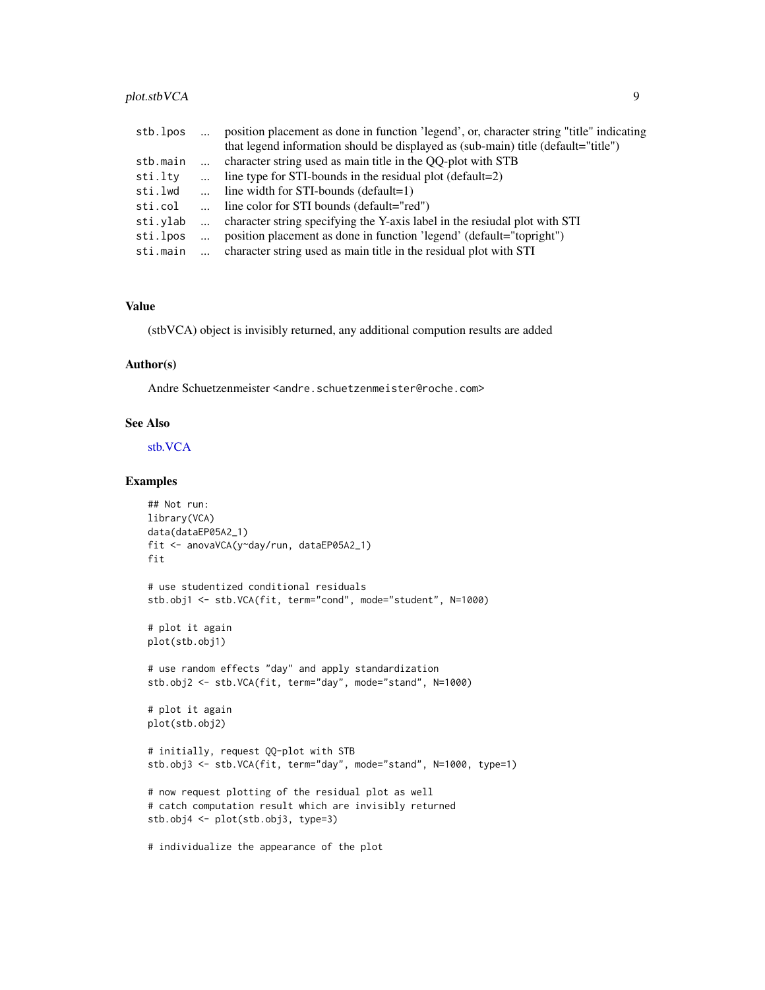## <span id="page-8-0"></span>plot.stbVCA 9

| stb.lpos | position placement as done in function 'legend', or, character string "title" indicating |
|----------|------------------------------------------------------------------------------------------|
|          | that legend information should be displayed as (sub-main) title (default="title")        |
| stb.main | character string used as main title in the QQ-plot with STB                              |
| sti.ltv  | line type for STI-bounds in the residual plot (default=2)                                |
| sti.lwd  | line width for $STI$ -bounds (default=1)                                                 |
| sti.col  | line color for STI bounds (default="red")                                                |
| sti.vlab | character string specifying the Y-axis label in the resiudal plot with STI               |
| sti.lpos | position placement as done in function 'legend' (default="topright")                     |
| sti.main | character string used as main title in the residual plot with STI                        |

#### Value

(stbVCA) object is invisibly returned, any additional compution results are added

## Author(s)

Andre Schuetzenmeister <andre.schuetzenmeister@roche.com>

## See Also

[stb.VCA](#page-15-1)

## Examples

```
## Not run:
library(VCA)
data(dataEP05A2_1)
fit <- anovaVCA(y~day/run, dataEP05A2_1)
fit
# use studentized conditional residuals
stb.obj1 <- stb.VCA(fit, term="cond", mode="student", N=1000)
# plot it again
plot(stb.obj1)
# use random effects "day" and apply standardization
stb.obj2 <- stb.VCA(fit, term="day", mode="stand", N=1000)
# plot it again
plot(stb.obj2)
# initially, request QQ-plot with STB
stb.obj3 <- stb.VCA(fit, term="day", mode="stand", N=1000, type=1)
# now request plotting of the residual plot as well
# catch computation result which are invisibly returned
stb.obj4 <- plot(stb.obj3, type=3)
# individualize the appearance of the plot
```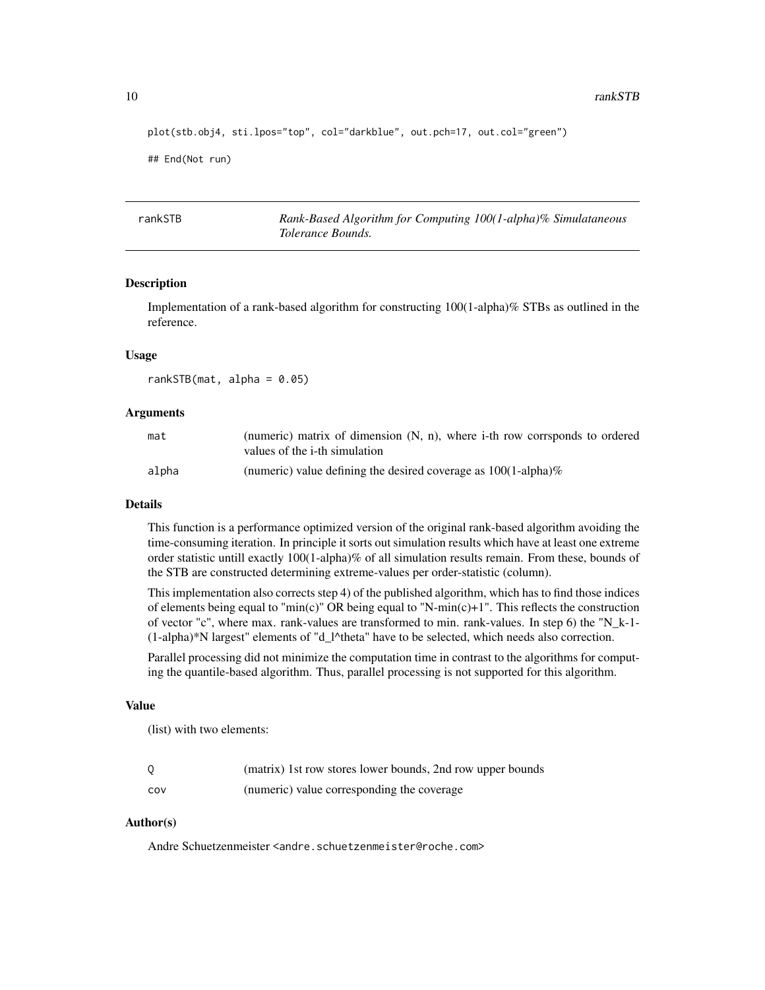```
plot(stb.obj4, sti.lpos="top", col="darkblue", out.pch=17, out.col="green")
```

```
## End(Not run)
```
<span id="page-9-1"></span>rankSTB *Rank-Based Algorithm for Computing 100(1-alpha)% Simulataneous Tolerance Bounds.*

#### **Description**

Implementation of a rank-based algorithm for constructing 100(1-alpha)% STBs as outlined in the reference.

#### Usage

rankSTB(mat, alpha =  $0.05$ )

#### Arguments

| mat   | (numeric) matrix of dimension (N, n), where i-th row corrsponds to ordered<br>values of the i-th simulation |
|-------|-------------------------------------------------------------------------------------------------------------|
| alpha | (numeric) value defining the desired coverage as $100(1$ -alpha)%                                           |

#### Details

This function is a performance optimized version of the original rank-based algorithm avoiding the time-consuming iteration. In principle it sorts out simulation results which have at least one extreme order statistic untill exactly 100(1-alpha)% of all simulation results remain. From these, bounds of the STB are constructed determining extreme-values per order-statistic (column).

This implementation also corrects step 4) of the published algorithm, which has to find those indices of elements being equal to "min(c)" OR being equal to "N-min(c)+1". This reflects the construction of vector "c", where max. rank-values are transformed to min. rank-values. In step 6) the "N\_k-1- (1-alpha)\*N largest" elements of "d\_l^theta" have to be selected, which needs also correction.

Parallel processing did not minimize the computation time in contrast to the algorithms for computing the quantile-based algorithm. Thus, parallel processing is not supported for this algorithm.

#### Value

(list) with two elements:

|     | (matrix) 1st row stores lower bounds, 2nd row upper bounds |
|-----|------------------------------------------------------------|
| COV | (numeric) value corresponding the coverage                 |

## Author(s)

Andre Schuetzenmeister <andre.schuetzenmeister@roche.com>

<span id="page-9-0"></span>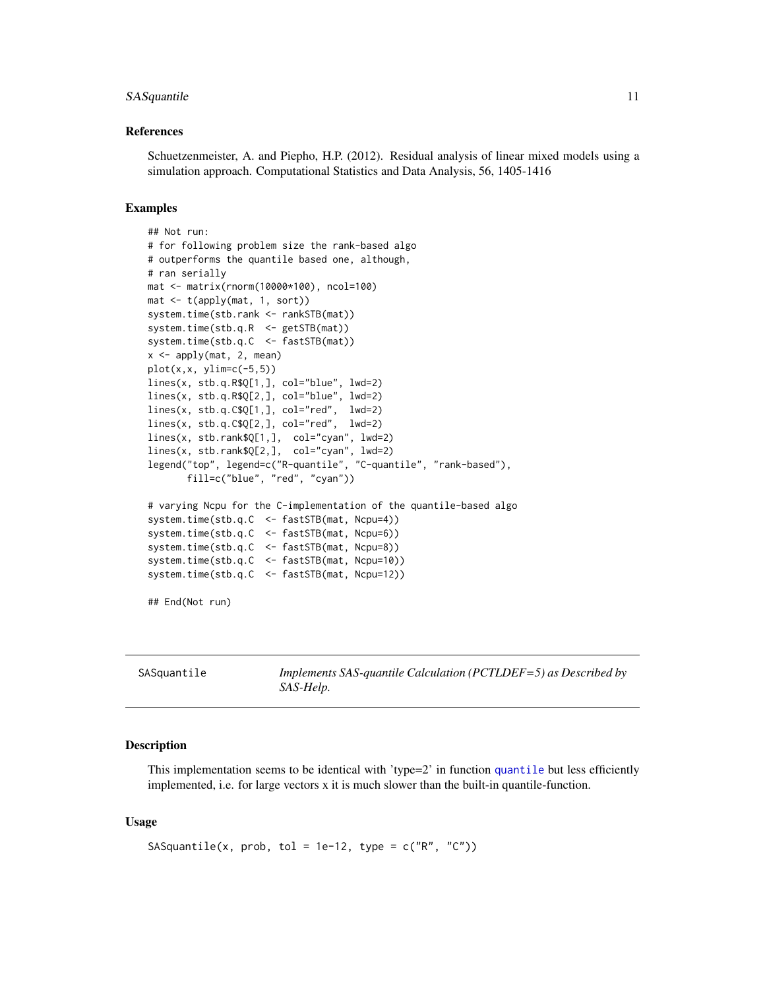#### <span id="page-10-0"></span>SASquantile 11

#### References

Schuetzenmeister, A. and Piepho, H.P. (2012). Residual analysis of linear mixed models using a simulation approach. Computational Statistics and Data Analysis, 56, 1405-1416

#### Examples

```
## Not run:
# for following problem size the rank-based algo
# outperforms the quantile based one, although,
# ran serially
mat <- matrix(rnorm(10000*100), ncol=100)
mat \leftarrow t(apply(mat, 1, sort))
system.time(stb.rank <- rankSTB(mat))
system.time(stb.q.R <- getSTB(mat))
system.time(stb.q.C <- fastSTB(mat))
x <- apply(mat, 2, mean)
plot(x, x, ylim=c(-5, 5))lines(x, stb.q.R$Q[1,], col="blue", lwd=2)
lines(x, stb.q.R$Q[2,], col="blue", lwd=2)
lines(x, stb.q.C$Q[1,], col="red", lwd=2)
lines(x, stb.q.C$Q[2,], col="red", ludc=2)lines(x, stb.rank$Q[1,], col="cyan", lwd=2)
lines(x, stb.rank$Q[2,], col="cyan", lwd=2)
legend("top", legend=c("R-quantile", "C-quantile", "rank-based"),
       fill=c("blue", "red", "cyan"))
# varying Ncpu for the C-implementation of the quantile-based algo
system.time(stb.q.C <- fastSTB(mat, Ncpu=4))
system.time(stb.q.C <- fastSTB(mat, Ncpu=6))
system.time(stb.q.C <- fastSTB(mat, Ncpu=8))
system.time(stb.q.C <- fastSTB(mat, Ncpu=10))
system.time(stb.q.C <- fastSTB(mat, Ncpu=12))
## End(Not run)
```
<span id="page-10-1"></span>

| SASquantile | Implements SAS-quantile Calculation (PCTLDEF=5) as Described by |
|-------------|-----------------------------------------------------------------|
|             | <i>SAS-Help.</i>                                                |

#### **Description**

This implementation seems to be identical with 'type=2' in function [quantile](#page-0-0) but less efficiently implemented, i.e. for large vectors x it is much slower than the built-in quantile-function.

#### Usage

```
SASquantile(x, prob, tol = 1e-12, type = c("R", "C"))
```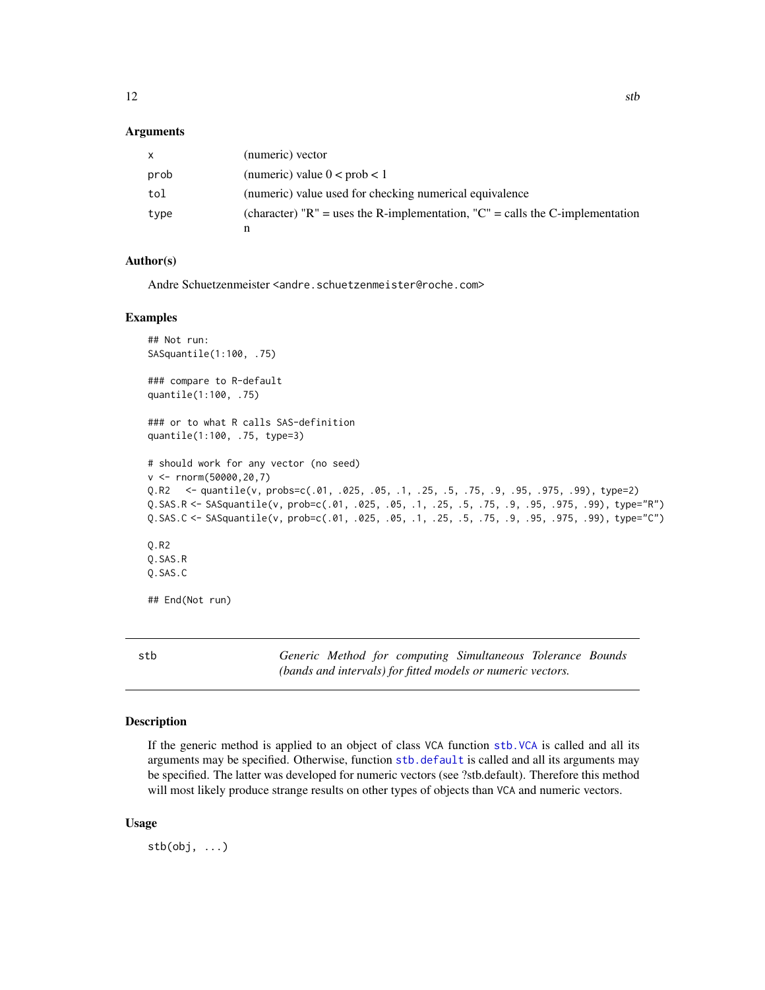#### <span id="page-11-0"></span>Arguments

| x.   | (numeric) vector                                                                      |
|------|---------------------------------------------------------------------------------------|
| prob | (numeric) value $0 < prob < 1$                                                        |
| tol  | (numeric) value used for checking numerical equivalence                               |
| type | (character) " $R$ " = uses the R-implementation, " $C$ " = calls the C-implementation |
|      |                                                                                       |

## Author(s)

Andre Schuetzenmeister <andre.schuetzenmeister@roche.com>

#### Examples

```
## Not run:
SASquantile(1:100, .75)
### compare to R-default
quantile(1:100, .75)
### or to what R calls SAS-definition
quantile(1:100, .75, type=3)
# should work for any vector (no seed)
v <- rnorm(50000,20,7)
Q.R2 <- quantile(v, probs=c(.01, .025, .05, .1, .25, .5, .75, .9, .95, .975, .99), type=2)
Q.SAS.R <- SASquantile(v, prob=c(.01, .025, .05, .1, .25, .5, .75, .9, .95, .975, .99), type="R")
Q.SAS.C <- SASquantile(v, prob=c(.01, .025, .05, .1, .25, .5, .75, .9, .95, .975, .99), type="C")
Q.R2
Q.SAS.R
Q.SAS.C
## End(Not run)
```
<span id="page-11-1"></span>stb *Generic Method for computing Simultaneous Tolerance Bounds (bands and intervals) for fitted models or numeric vectors.*

## Description

If the generic method is applied to an object of class VCA function [stb.VCA](#page-15-1) is called and all its arguments may be specified. Otherwise, function [stb.default](#page-12-1) is called and all its arguments may be specified. The latter was developed for numeric vectors (see ?stb.default). Therefore this method will most likely produce strange results on other types of objects than VCA and numeric vectors.

#### Usage

 $stb(obj, \ldots)$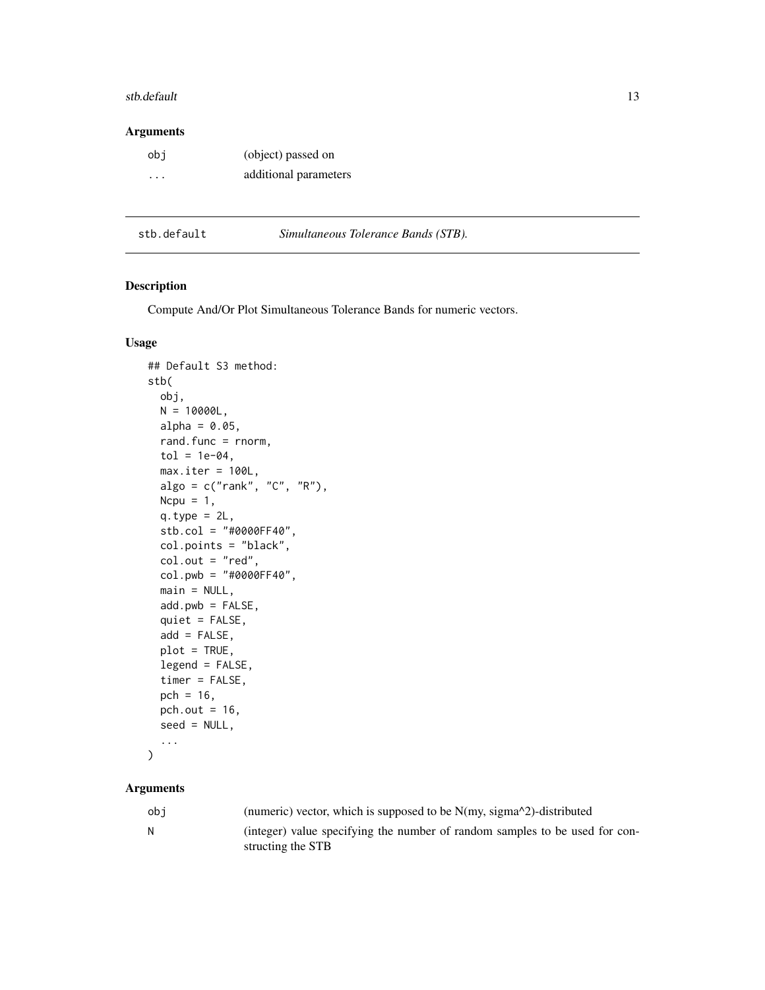#### <span id="page-12-0"></span>stb.default 13

#### Arguments

| obi     | (object) passed on    |
|---------|-----------------------|
| $\cdot$ | additional parameters |

<span id="page-12-1"></span>stb.default *Simultaneous Tolerance Bands (STB).*

## Description

Compute And/Or Plot Simultaneous Tolerance Bands for numeric vectors.

#### Usage

```
## Default S3 method:
stb(
  obj,
 N = 10000L,alpha = 0.05,
  rand.func = rnorm,
  tol = 1e-04,max.iter = 100L,algo = c("rank", "C", "R"),
 Ncpu = 1,
  q.type = 2L,
  stb.col = "#0000FF40",
  col.points = "black",
  col.out = "red",col.pwb = "#0000FF40",
  main = NULL,add.pwb = FALSE,quiet = FALSE,
  add = FALSE,plot = TRUE,
  legend = FALSE,
  timer = FALSE,
  pch = 16,
 pch.out = 16,
  seed = NULL,
  ...
\mathcal{L}
```

| obi | (numeric) vector, which is supposed to be $N(my, sigma^2)$ -distributed                          |
|-----|--------------------------------------------------------------------------------------------------|
| - N | (integer) value specifying the number of random samples to be used for con-<br>structing the STB |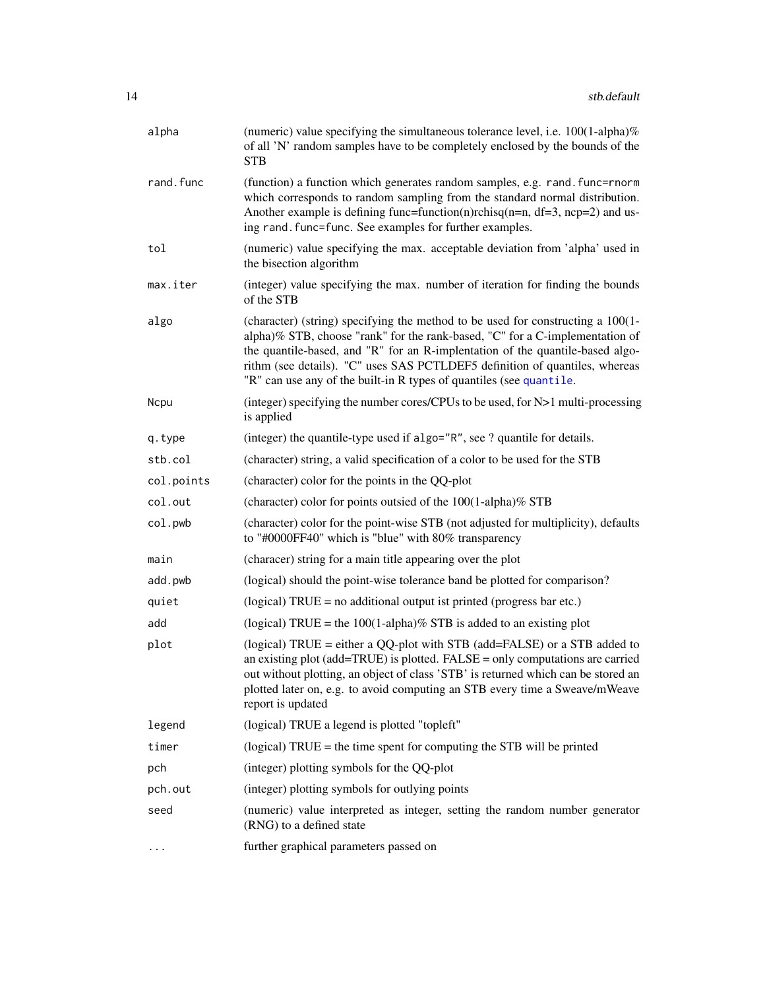<span id="page-13-0"></span>

| alpha      | (numeric) value specifying the simultaneous tolerance level, i.e. $100(1$ -alpha)%<br>of all 'N' random samples have to be completely enclosed by the bounds of the<br><b>STB</b>                                                                                                                                                                                                                      |
|------------|--------------------------------------------------------------------------------------------------------------------------------------------------------------------------------------------------------------------------------------------------------------------------------------------------------------------------------------------------------------------------------------------------------|
| rand.func  | (function) a function which generates random samples, e.g. rand. func=rnorm<br>which corresponds to random sampling from the standard normal distribution.<br>Another example is defining func=function(n)rchisq(n=n, df=3, ncp=2) and us-<br>ing rand. func=func. See examples for further examples.                                                                                                  |
| tol        | (numeric) value specifying the max. acceptable deviation from 'alpha' used in<br>the bisection algorithm                                                                                                                                                                                                                                                                                               |
| max.iter   | (integer) value specifying the max. number of iteration for finding the bounds<br>of the STB                                                                                                                                                                                                                                                                                                           |
| algo       | (character) (string) specifying the method to be used for constructing a 100(1-<br>alpha)% STB, choose "rank" for the rank-based, "C" for a C-implementation of<br>the quantile-based, and "R" for an R-implentation of the quantile-based algo-<br>rithm (see details). "C" uses SAS PCTLDEF5 definition of quantiles, whereas<br>"R" can use any of the built-in R types of quantiles (see quantile. |
| Ncpu       | (integer) specifying the number cores/CPUs to be used, for $N>1$ multi-processing<br>is applied                                                                                                                                                                                                                                                                                                        |
| q.type     | (integer) the quantile-type used if algo="R", see ? quantile for details.                                                                                                                                                                                                                                                                                                                              |
| stb.col    | (character) string, a valid specification of a color to be used for the STB                                                                                                                                                                                                                                                                                                                            |
| col.points | (character) color for the points in the QQ-plot                                                                                                                                                                                                                                                                                                                                                        |
| col.out    | (character) color for points outsied of the 100(1-alpha)% STB                                                                                                                                                                                                                                                                                                                                          |
| col.pwb    | (character) color for the point-wise STB (not adjusted for multiplicity), defaults<br>to "#0000FF40" which is "blue" with 80% transparency                                                                                                                                                                                                                                                             |
| main       | (characer) string for a main title appearing over the plot                                                                                                                                                                                                                                                                                                                                             |
| add.pwb    | (logical) should the point-wise tolerance band be plotted for comparison?                                                                                                                                                                                                                                                                                                                              |
| quiet      | (logical) $TRUE = no$ additional output ist printed (progress bar etc.)                                                                                                                                                                                                                                                                                                                                |
| add        | (logical) TRUE = the $100(1$ -alpha)% STB is added to an existing plot                                                                                                                                                                                                                                                                                                                                 |
| plot       | (logical) TRUE = either a QQ-plot with STB (add=FALSE) or a STB added to<br>an existing plot (add=TRUE) is plotted. FALSE = only computations are carried<br>out without plotting, an object of class 'STB' is returned which can be stored an<br>plotted later on, e.g. to avoid computing an STB every time a Sweave/mWeave<br>report is updated                                                     |
| legend     | (logical) TRUE a legend is plotted "topleft"                                                                                                                                                                                                                                                                                                                                                           |
| timer      | (logical) $TRUE =$ the time spent for computing the STB will be printed                                                                                                                                                                                                                                                                                                                                |
| pch        | (integer) plotting symbols for the QQ-plot                                                                                                                                                                                                                                                                                                                                                             |
| pch.out    | (integer) plotting symbols for outlying points                                                                                                                                                                                                                                                                                                                                                         |
| seed       | (numeric) value interpreted as integer, setting the random number generator<br>(RNG) to a defined state                                                                                                                                                                                                                                                                                                |
| .          | further graphical parameters passed on                                                                                                                                                                                                                                                                                                                                                                 |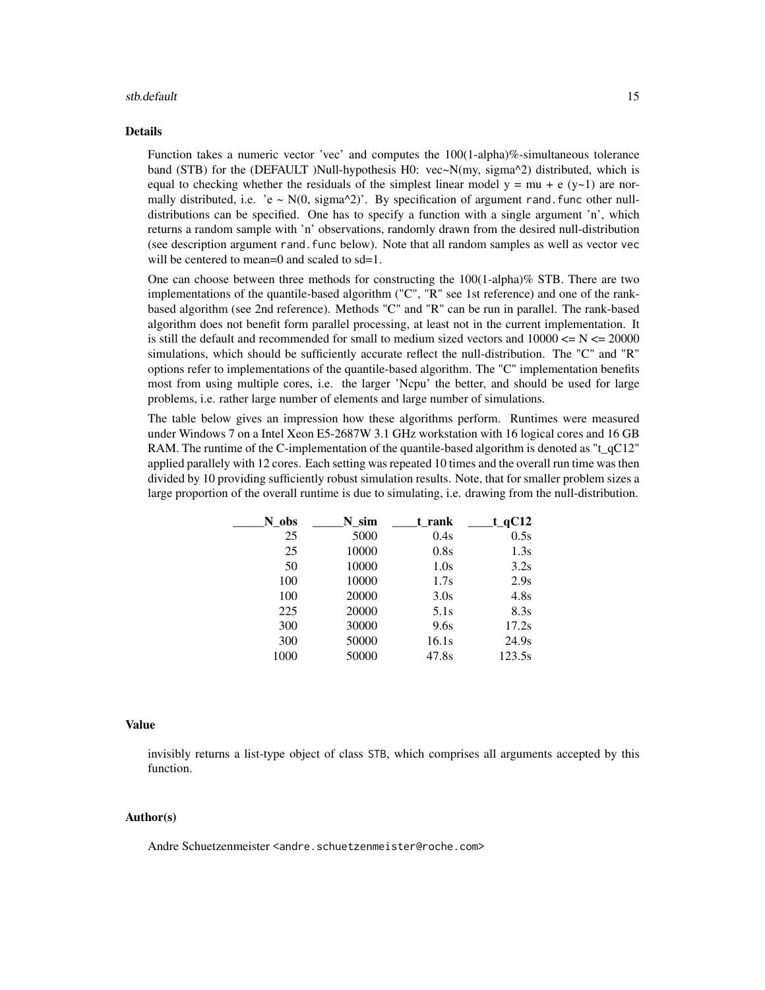#### stb.default 15

#### Details

Function takes a numeric vector 'vec' and computes the 100(1-alpha)%-simultaneous tolerance band (STB) for the (DEFAULT )Null-hypothesis H0: vec~N(my, sigma^2) distributed, which is equal to checking whether the residuals of the simplest linear model  $y = mu + e (y-1)$  are normally distributed, i.e. 'e ~  $N(0, sigma^2)$ '. By specification of argument rand. func other nulldistributions can be specified. One has to specify a function with a single argument 'n', which returns a random sample with 'n' observations, randomly drawn from the desired null-distribution (see description argument rand.func below). Note that all random samples as well as vector vec will be centered to mean=0 and scaled to sd=1.

One can choose between three methods for constructing the  $100(1$ -alpha)% STB. There are two implementations of the quantile-based algorithm ("C", "R" see 1st reference) and one of the rankbased algorithm (see 2nd reference). Methods "C" and "R" can be run in parallel. The rank-based algorithm does not benefit form parallel processing, at least not in the current implementation. It is still the default and recommended for small to medium sized vectors and  $10000 \le N \le 20000$ simulations, which should be sufficiently accurate reflect the null-distribution. The "C" and "R" options refer to implementations of the quantile-based algorithm. The "C" implementation benefits most from using multiple cores, i.e. the larger 'Ncpu' the better, and should be used for large problems, i.e. rather large number of elements and large number of simulations.

The table below gives an impression how these algorithms perform. Runtimes were measured under Windows 7 on a Intel Xeon E5-2687W 3.1 GHz workstation with 16 logical cores and 16 GB RAM. The runtime of the C-implementation of the quantile-based algorithm is denoted as "t\_qC12" applied parallely with 12 cores. Each setting was repeated 10 times and the overall run time was then divided by 10 providing sufficiently robust simulation results. Note, that for smaller problem sizes a large proportion of the overall runtime is due to simulating, i.e. drawing from the null-distribution.

| N_obs | N sim | t rank | $t_qC12$          |
|-------|-------|--------|-------------------|
| 25    | 5000  | 0.4s   | 0.5s              |
| 25    | 10000 | 0.8s   | 1.3s              |
| 50    | 10000 | 1.0s   | 3.2s              |
| 100   | 10000 | 1.7s   | 2.9s              |
| 100   | 20000 | 3.0s   | 4.8s              |
| 225   | 20000 | 5.1s   | 8.3s              |
| 300   | 30000 | 9.6s   | 17.2s             |
| 300   | 50000 | 16.1s  | 24.9 <sub>s</sub> |
| 1000  | 50000 | 47.8s  | 123.5s            |
|       |       |        |                   |

#### Value

invisibly returns a list-type object of class STB, which comprises all arguments accepted by this function.

#### Author(s)

Andre Schuetzenmeister <andre.schuetzenmeister@roche.com>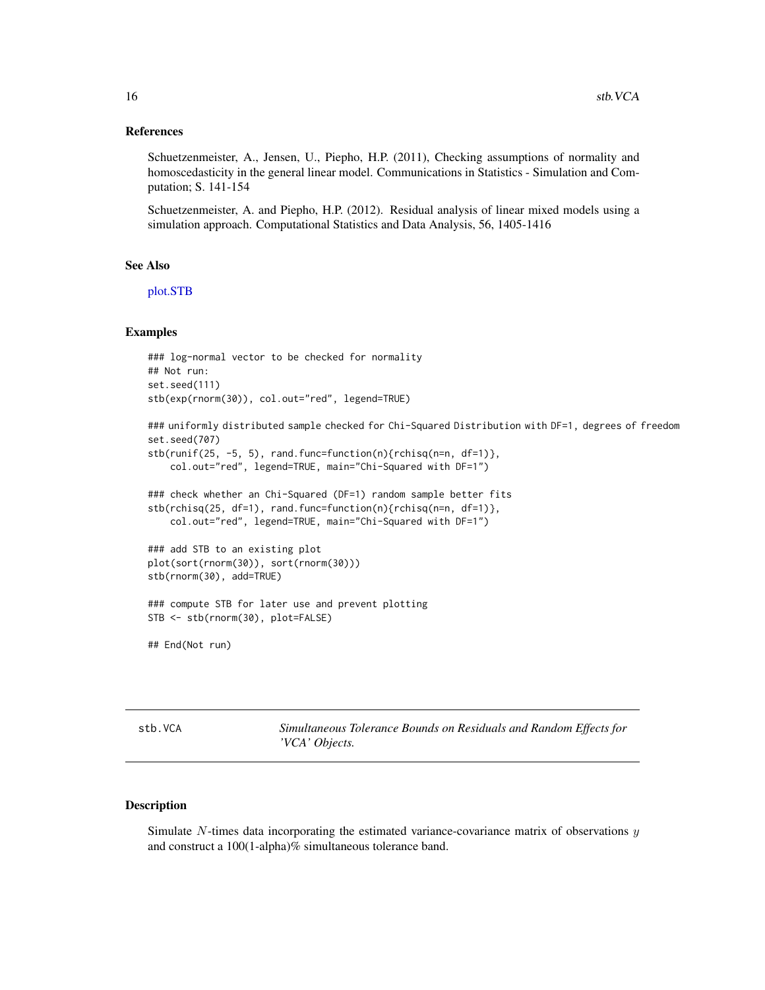#### <span id="page-15-0"></span>References

Schuetzenmeister, A., Jensen, U., Piepho, H.P. (2011), Checking assumptions of normality and homoscedasticity in the general linear model. Communications in Statistics - Simulation and Computation; S. 141-154

Schuetzenmeister, A. and Piepho, H.P. (2012). Residual analysis of linear mixed models using a simulation approach. Computational Statistics and Data Analysis, 56, 1405-1416

#### See Also

[plot.STB](#page-6-1)

#### Examples

```
### log-normal vector to be checked for normality
## Not run:
set.seed(111)
stb(exp(rnorm(30)), col.out="red", legend=TRUE)
```

```
### uniformly distributed sample checked for Chi-Squared Distribution with DF=1, degrees of freedom
set.seed(707)
stb(runif(25, -5, 5), rand.func=function(n){rchisq(n=n, df=1)},
   col.out="red", legend=TRUE, main="Chi-Squared with DF=1")
```

```
### check whether an Chi-Squared (DF=1) random sample better fits
stb(rchisq(25, df=1), rand.func=function(n){rchisq(n=n, df=1)},
   col.out="red", legend=TRUE, main="Chi-Squared with DF=1")
```

```
### add STB to an existing plot
plot(sort(rnorm(30)), sort(rnorm(30)))
stb(rnorm(30), add=TRUE)
```

```
### compute STB for later use and prevent plotting
STB <- stb(rnorm(30), plot=FALSE)
```
## End(Not run)

<span id="page-15-1"></span>stb.VCA *Simultaneous Tolerance Bounds on Residuals and Random Effects for 'VCA' Objects.*

#### Description

Simulate  $N$ -times data incorporating the estimated variance-covariance matrix of observations  $y$ and construct a 100(1-alpha)% simultaneous tolerance band.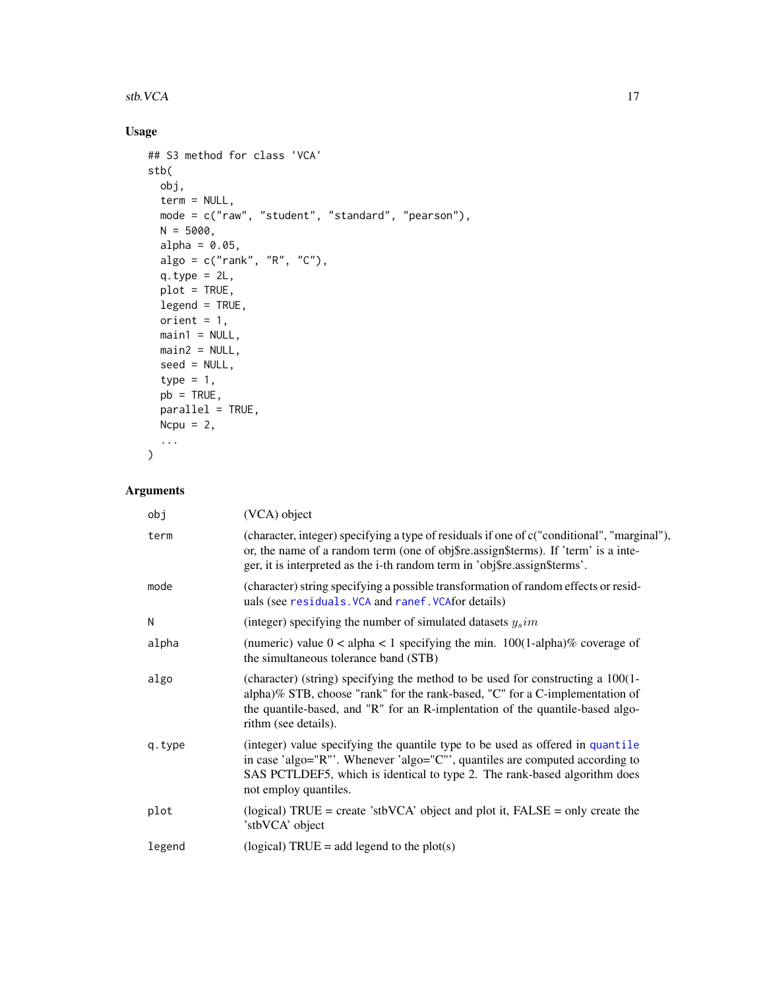#### <span id="page-16-0"></span>stb.VCA  $17$

## Usage

```
## S3 method for class 'VCA'
stb(
  obj,
  term = NULL,
  mode = c("raw", "student", "standard", "pearson"),
  N = 5000,alpha = 0.05,
  algo = c("rank", "R", "C"),q.type = 2L,plot = TRUE,
  legend = TRUE,orient = 1,main1 = NULL,
  main2 = NULL,
  seed = NULL,type = 1,
  pb = TRUE,parallel = TRUE,
  Ncpu = 2,
  ...
\mathcal{L}
```

| obj    | (VCA) object                                                                                                                                                                                                                                                             |
|--------|--------------------------------------------------------------------------------------------------------------------------------------------------------------------------------------------------------------------------------------------------------------------------|
| term   | (character, integer) specifying a type of residuals if one of c("conditional", "marginal"),<br>or, the name of a random term (one of obj\$re.assign\$terms). If 'term' is a inte-<br>ger, it is interpreted as the i-th random term in 'obj\$re.assign\$terms'.          |
| mode   | (character) string specifying a possible transformation of random effects or resid-<br>uals (see residuals. VCA and ranef. VCAfor details)                                                                                                                               |
| N      | (integer) specifying the number of simulated datasets $y_s$ <i>im</i>                                                                                                                                                                                                    |
| alpha  | (numeric) value $0 <$ alpha $< 1$ specifying the min. 100(1-alpha)% coverage of<br>the simultaneous tolerance band (STB)                                                                                                                                                 |
| algo   | (character) (string) specifying the method to be used for constructing a 100(1-<br>alpha)% STB, choose "rank" for the rank-based, "C" for a C-implementation of<br>the quantile-based, and "R" for an R-implentation of the quantile-based algo-<br>rithm (see details). |
| q.type | (integer) value specifying the quantile type to be used as offered in quantile<br>in case 'algo="R"'. Whenever 'algo="C"', quantiles are computed according to<br>SAS PCTLDEF5, which is identical to type 2. The rank-based algorithm does<br>not employ quantiles.     |
| plot   | (logical) TRUE = create 'stbVCA' object and plot it, $FALSE = only create the$<br>'stbVCA' object                                                                                                                                                                        |
| legend | (logical) TRUE = add legend to the plot(s)                                                                                                                                                                                                                               |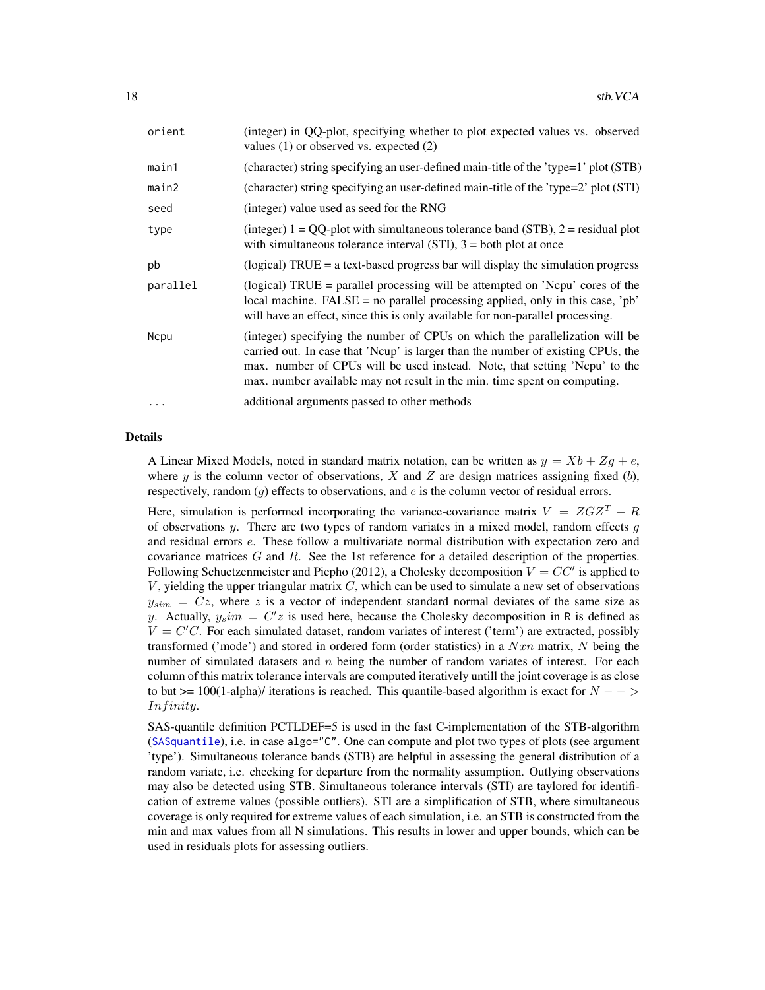<span id="page-17-0"></span>

| orient      | (integer) in QQ-plot, specifying whether to plot expected values vs. observed<br>values $(1)$ or observed vs. expected $(2)$                                                                                                                                                                                                |
|-------------|-----------------------------------------------------------------------------------------------------------------------------------------------------------------------------------------------------------------------------------------------------------------------------------------------------------------------------|
| main1       | (character) string specifying an user-defined main-title of the 'type=1' plot (STB)                                                                                                                                                                                                                                         |
| main2       | (character) string specifying an user-defined main-title of the 'type=2' plot (STI)                                                                                                                                                                                                                                         |
| seed        | (integer) value used as seed for the RNG                                                                                                                                                                                                                                                                                    |
| type        | (integer) $1 = QQ$ -plot with simultaneous tolerance band (STB), $2 =$ residual plot<br>with simultaneous tolerance interval (STI), $3 =$ both plot at once                                                                                                                                                                 |
| pb          | (logical) $TRUE = a text-based progress$ bar will display the simulation progress                                                                                                                                                                                                                                           |
| parallel    | (logical) TRUE = parallel processing will be attempted on 'Nepu' cores of the<br>local machine. $FALSE = no parallel processing applied, only in this case, 'pb'$<br>will have an effect, since this is only available for non-parallel processing.                                                                         |
| <b>Ncpu</b> | (integer) specifying the number of CPUs on which the parallelization will be<br>carried out. In case that 'Ncup' is larger than the number of existing CPUs, the<br>max. number of CPUs will be used instead. Note, that setting 'Ncpu' to the<br>max. number available may not result in the min. time spent on computing. |
| $\cdots$    | additional arguments passed to other methods                                                                                                                                                                                                                                                                                |

#### Details

A Linear Mixed Models, noted in standard matrix notation, can be written as  $y = Xb + Zg + e$ , where y is the column vector of observations, X and Z are design matrices assigning fixed  $(b)$ , respectively, random  $(q)$  effects to observations, and e is the column vector of residual errors.

Here, simulation is performed incorporating the variance-covariance matrix  $V = ZGZ^{T} + R$ of observations y. There are two types of random variates in a mixed model, random effects q and residual errors e. These follow a multivariate normal distribution with expectation zero and covariance matrices  $G$  and  $R$ . See the 1st reference for a detailed description of the properties. Following Schuetzenmeister and Piepho (2012), a Cholesky decomposition  $V = CC'$  is applied to  $V$ , yielding the upper triangular matrix  $C$ , which can be used to simulate a new set of observations  $y_{sim}$  =  $Cz$ , where z is a vector of independent standard normal deviates of the same size as y. Actually,  $y_s$ im =  $C'z$  is used here, because the Cholesky decomposition in R is defined as  $V = C'C$ . For each simulated dataset, random variates of interest ('term') are extracted, possibly transformed ('mode') and stored in ordered form (order statistics) in a  $Nxn$  matrix, N being the number of simulated datasets and  $n$  being the number of random variates of interest. For each column of this matrix tolerance intervals are computed iteratively untill the joint coverage is as close to but >= 100(1-alpha)/ iterations is reached. This quantile-based algorithm is exact for  $N - \rightarrow$ Inf inity.

SAS-quantile definition PCTLDEF=5 is used in the fast C-implementation of the STB-algorithm ([SASquantile](#page-10-1)), i.e. in case algo="C". One can compute and plot two types of plots (see argument 'type'). Simultaneous tolerance bands (STB) are helpful in assessing the general distribution of a random variate, i.e. checking for departure from the normality assumption. Outlying observations may also be detected using STB. Simultaneous tolerance intervals (STI) are taylored for identification of extreme values (possible outliers). STI are a simplification of STB, where simultaneous coverage is only required for extreme values of each simulation, i.e. an STB is constructed from the min and max values from all N simulations. This results in lower and upper bounds, which can be used in residuals plots for assessing outliers.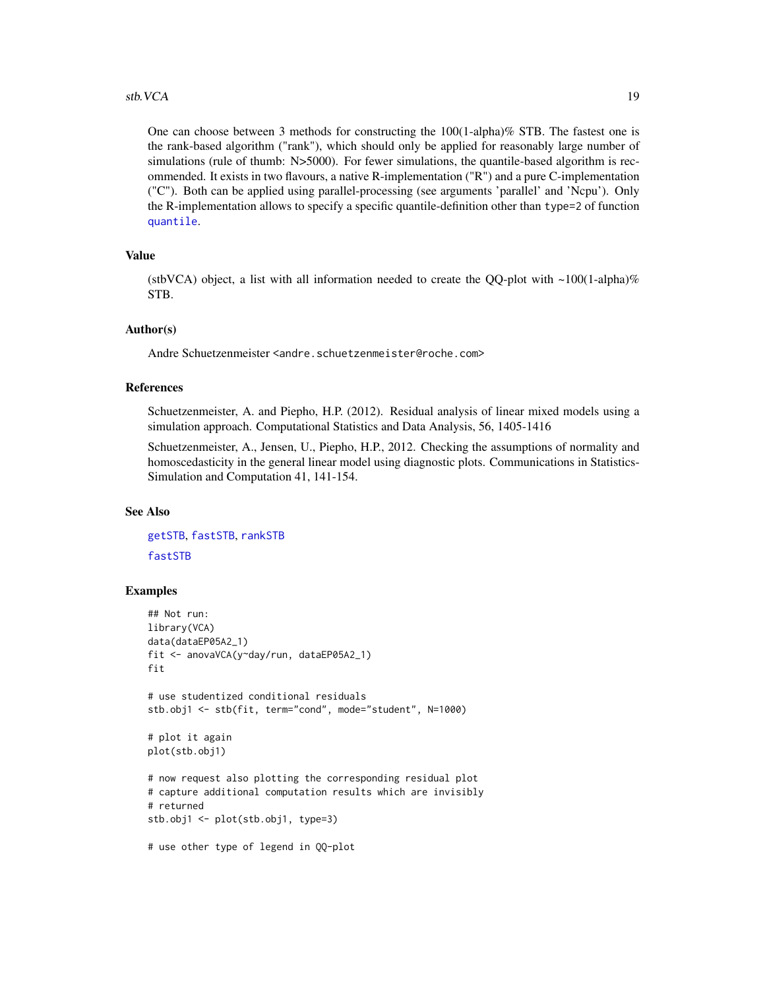#### <span id="page-18-0"></span>stb.VCA 19

One can choose between 3 methods for constructing the 100(1-alpha)% STB. The fastest one is the rank-based algorithm ("rank"), which should only be applied for reasonably large number of simulations (rule of thumb: N>5000). For fewer simulations, the quantile-based algorithm is recommended. It exists in two flavours, a native R-implementation ("R") and a pure C-implementation ("C"). Both can be applied using parallel-processing (see arguments 'parallel' and 'Ncpu'). Only the R-implementation allows to specify a specific quantile-definition other than type=2 of function [quantile](#page-0-0).

#### Value

(stbVCA) object, a list with all information needed to create the QQ-plot with  $\sim$ 100(1-alpha)% STB.

#### Author(s)

Andre Schuetzenmeister <andre.schuetzenmeister@roche.com>

#### References

Schuetzenmeister, A. and Piepho, H.P. (2012). Residual analysis of linear mixed models using a simulation approach. Computational Statistics and Data Analysis, 56, 1405-1416

Schuetzenmeister, A., Jensen, U., Piepho, H.P., 2012. Checking the assumptions of normality and homoscedasticity in the general linear model using diagnostic plots. Communications in Statistics-Simulation and Computation 41, 141-154.

#### See Also

[getSTB](#page-4-1), [fastSTB](#page-2-1), [rankSTB](#page-9-1) [fastSTB](#page-2-1)

## Examples

```
## Not run:
library(VCA)
data(dataEP05A2_1)
fit <- anovaVCA(y~day/run, dataEP05A2_1)
fit
# use studentized conditional residuals
stb.obj1 <- stb(fit, term="cond", mode="student", N=1000)
# plot it again
plot(stb.obj1)
# now request also plotting the corresponding residual plot
# capture additional computation results which are invisibly
# returned
stb.obj1 <- plot(stb.obj1, type=3)
# use other type of legend in QQ-plot
```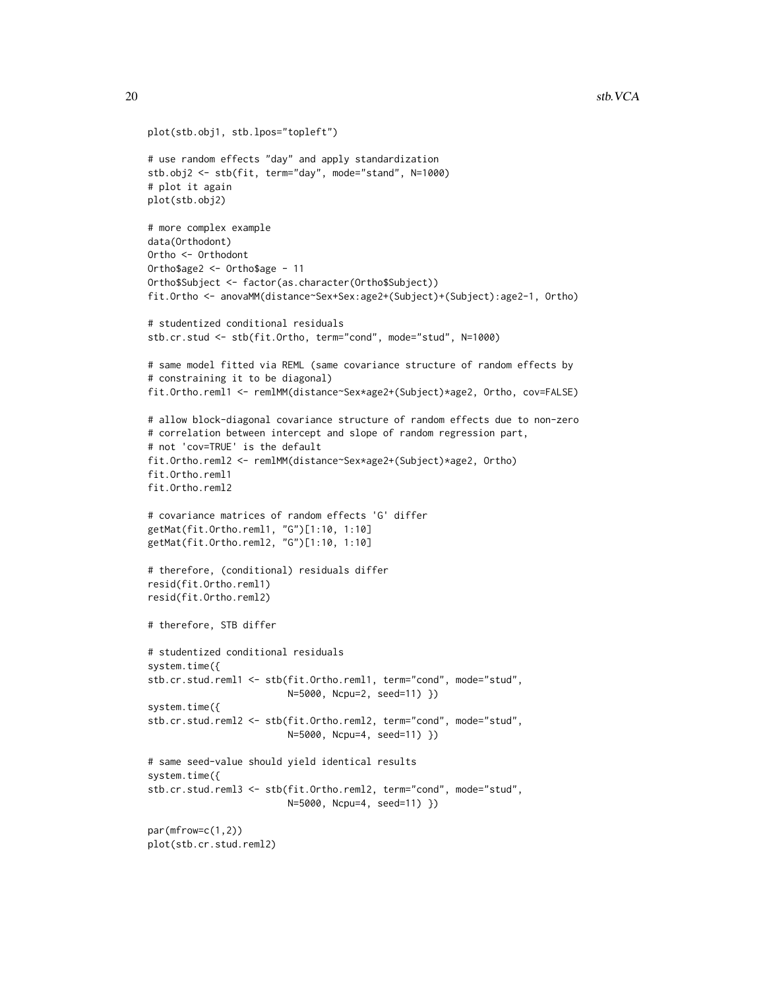```
plot(stb.obj1, stb.lpos="topleft")
# use random effects "day" and apply standardization
stb.obj2 <- stb(fit, term="day", mode="stand", N=1000)
# plot it again
plot(stb.obj2)
# more complex example
data(Orthodont)
Ortho <- Orthodont
Ortho$age2 <- Ortho$age - 11
Ortho$Subject <- factor(as.character(Ortho$Subject))
fit.Ortho <- anovaMM(distance~Sex+Sex:age2+(Subject)+(Subject):age2-1, Ortho)
# studentized conditional residuals
stb.cr.stud <- stb(fit.Ortho, term="cond", mode="stud", N=1000)
# same model fitted via REML (same covariance structure of random effects by
# constraining it to be diagonal)
fit.Ortho.reml1 <- remlMM(distance~Sex*age2+(Subject)*age2, Ortho, cov=FALSE)
# allow block-diagonal covariance structure of random effects due to non-zero
# correlation between intercept and slope of random regression part,
# not 'cov=TRUE' is the default
fit.Ortho.reml2 <- remlMM(distance~Sex*age2+(Subject)*age2, Ortho)
fit.Ortho.reml1
fit.Ortho.reml2
# covariance matrices of random effects 'G' differ
getMat(fit.Ortho.reml1, "G")[1:10, 1:10]
getMat(fit.Ortho.reml2, "G")[1:10, 1:10]
# therefore, (conditional) residuals differ
resid(fit.Ortho.reml1)
resid(fit.Ortho.reml2)
# therefore, STB differ
# studentized conditional residuals
system.time({
stb.cr.stud.reml1 <- stb(fit.Ortho.reml1, term="cond", mode="stud",
                         N=5000, Ncpu=2, seed=11) })
system.time({
stb.cr.stud.reml2 <- stb(fit.Ortho.reml2, term="cond", mode="stud",
                         N=5000, Ncpu=4, seed=11) })
# same seed-value should yield identical results
system.time({
stb.cr.stud.reml3 <- stb(fit.Ortho.reml2, term="cond", mode="stud",
                         N=5000, Ncpu=4, seed=11) })
par(mfrow=c(1,2))
plot(stb.cr.stud.reml2)
```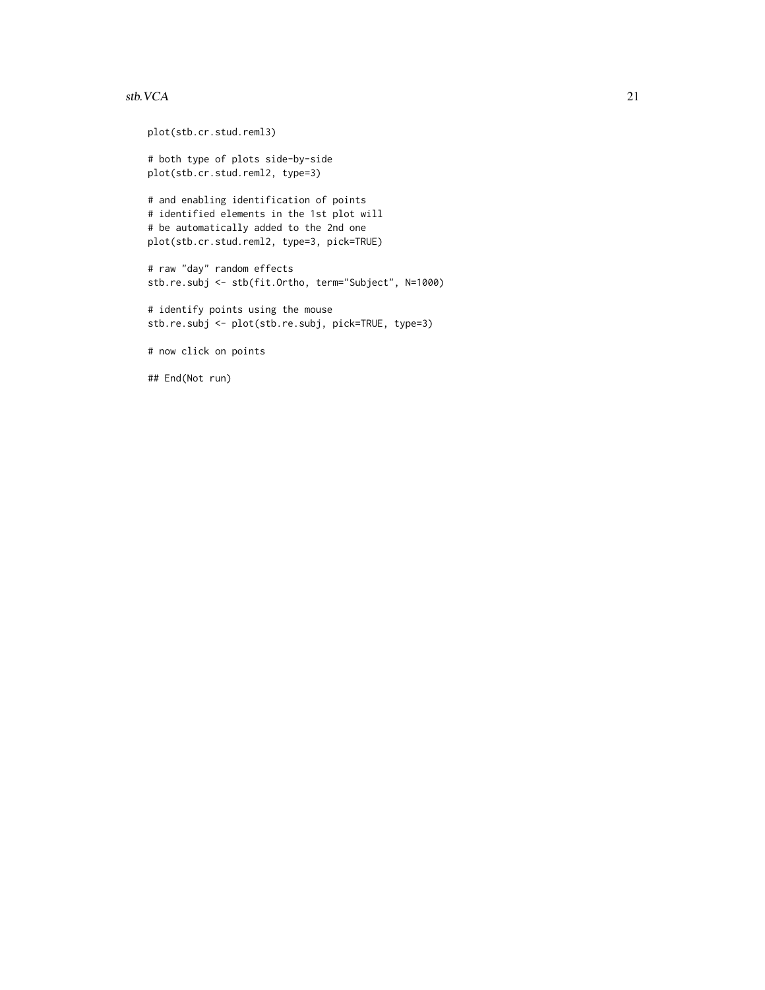#### stb.VCA  $21$

plot(stb.cr.stud.reml3) # both type of plots side-by-side plot(stb.cr.stud.reml2, type=3) # and enabling identification of points # identified elements in the 1st plot will # be automatically added to the 2nd one plot(stb.cr.stud.reml2, type=3, pick=TRUE) # raw "day" random effects stb.re.subj <- stb(fit.Ortho, term="Subject", N=1000) # identify points using the mouse stb.re.subj <- plot(stb.re.subj, pick=TRUE, type=3) # now click on points

## End(Not run)